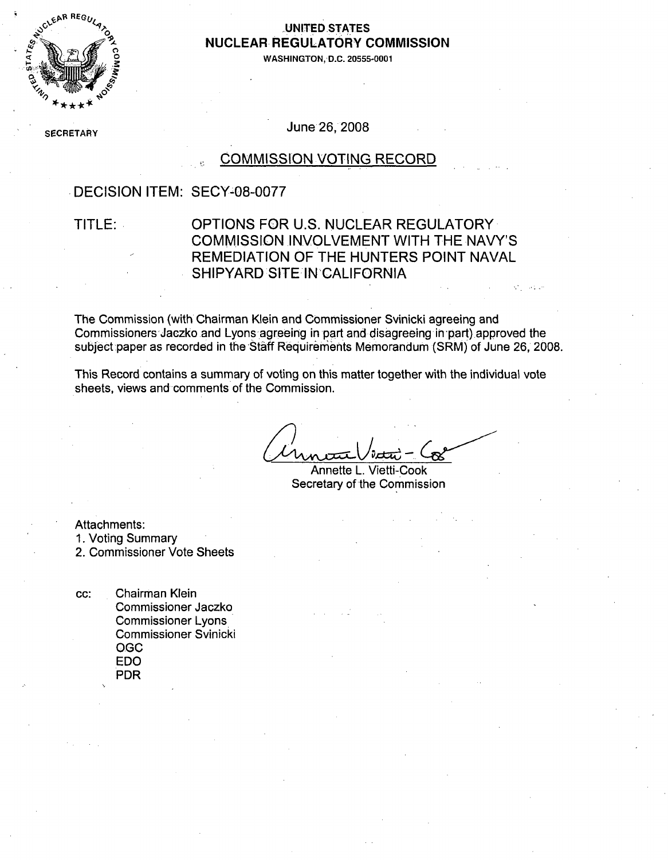

#### **"0- ,UNITED .STATES** NUCLEAR, REGULATORY COMMISSION

WASHINGTON, D.C. 20555-0001

**SECRETARY** 

June 26, 2008

#### COMMISSION VOTING RECORD

#### DECISION ITEM: SECY-08-0077

#### TITLE: OPTIONS FOR U.S. NUCLEAR REGULATORY COMMISSION INVOLVEMENT WITH THE NAVY'S REMEDIATION OF THE HUNTERS POINT NAVAL SHIPYARD SITE IN CALIFORNIA

Michael Le

The Commission (with Chairman Klein and Commissioner Svinicki agreeing and Commissioners Jaczko and Lyons agreeing in part and disagreeing in part) approved the subject paper as recorded in the Staff Requiremients Memorandum (SRM) of June **26,** 2008.

This Record contains a summary of voting on this matter together with the individual vote sheets, views and comments of the Commission.

Annette L. Vietti-Cook Secretary of the Commission

Attachments:

1. Voting Summary

2. Commissioner Vote Sheets

cc: Chairman Klein Commissioner Jaczko Commissioner Lyons. Commissioner Svinicki O **GC** EDO PDR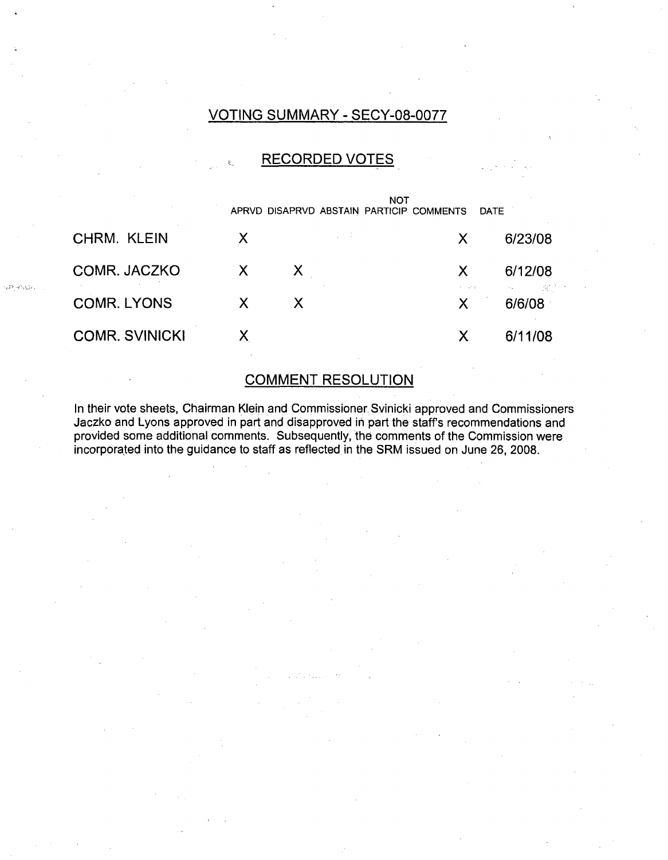#### VOTING SUMMARY - SECY-08-0077

#### RECORDED VOTES

|                       |   | APRVD DISAPRVD ABSTAIN PARTICIP COMMENTS | <b>NOT</b> |   | <b>DATE</b>        |
|-----------------------|---|------------------------------------------|------------|---|--------------------|
| CHRM. KLEIN           | X |                                          |            | X | 6/23/08            |
| COMR. JACZKO          | X | X.                                       |            | X | 6/12/08            |
| <b>COMR. LYONS</b>    | X | X                                        |            | X | i de l'A<br>6/6/08 |
| <b>COMR. SVINICKI</b> |   |                                          |            | X | 6/11/08            |

ر بۇرۇرۇپ قاترا

#### COMMENT RESOLUTION

In their vote sheets, Chairman Klein and Commissioner Svinicki approved and Commissioners Jaczko and Lyons approved in part and disapproved in part the staff's recommendations and provided some additional comments. Subsequently, the comments of the Commission were incorporated into the guidance to staff as reflected in the SRM issued on June 26, 2008.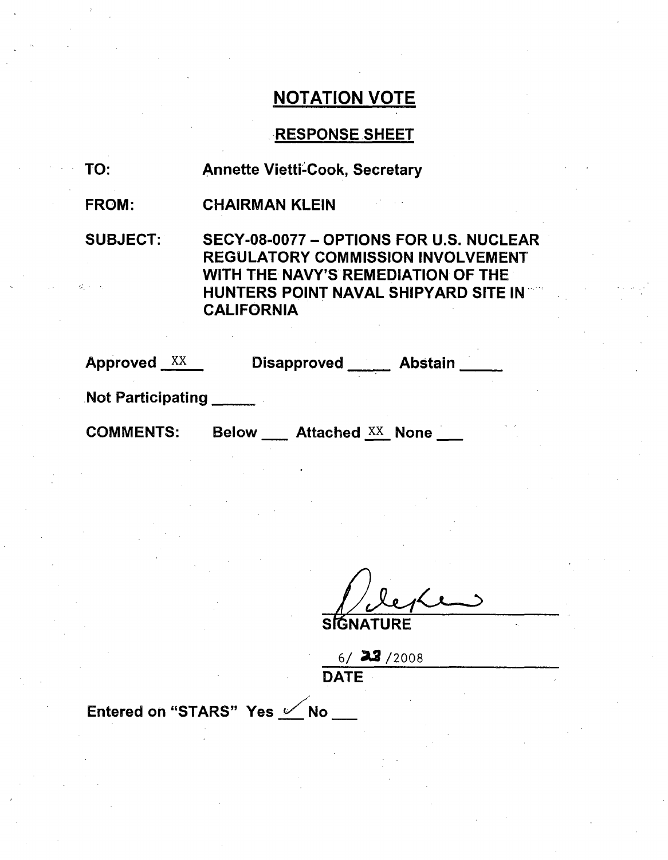#### RESPONSE SHEET

| TO: |  | <b>Annette Vietti-Cook, Secretary</b> |  |
|-----|--|---------------------------------------|--|
|-----|--|---------------------------------------|--|

FROM: CHAIRMAN KLEIN

SUBJECT: SECY-08-0077 - OPTIONS FOR U.S. NUCLEAR REGULATORY COMMISSION INVOLVEMENT WITH THE NAVY'S REMEDIATION OF THE HUNTERS POINT NAVAL SHIPYARD SITE IN **CALIFORNIA** 

| Approved | ^^ |
|----------|----|
|          |    |

Disapproved \_\_\_\_\_ Abstain \_\_\_

.Not Participating **\_**

COMMENTS: Below Attached xx None

**SIGNATURE** 

6/ **A2** /2008 DATE

Entered on "STARS" Yes  $\swarrow$  No \_\_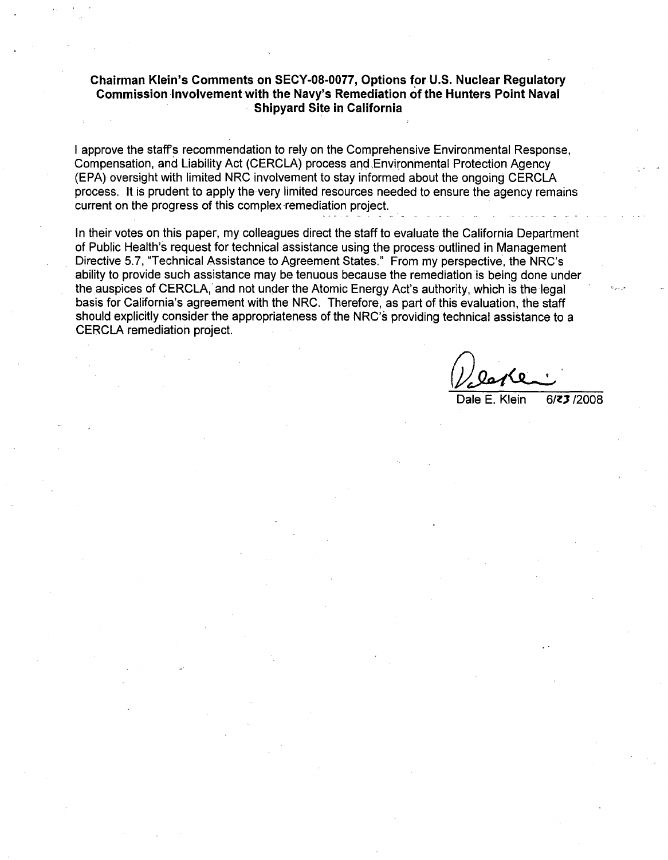#### Chairman Klein's Comments on **SECY-08-0077,** Options **for U.S.** Nuclear Regulatory Commission Involvement with the Navy's Remediation of the Hunters Point Naval Shipyard Site in California

I approve the staff's recommendation to rely on the Comprehensive Environmental Response, Compensation, and Liability Act (CERCLA) process and Environmental Protection Agency (EPA) oversight with limited NRC involvement to stay informed about the ongoing CERCLA process. It is prudent to apply the very limited resources needed to ensure the agency remains current on the progress of this complex remediation project.

In their votes on this paper, my colleagues direct the staff to evaluate the California Department of Public Health's request for technical assistance using the process outlined in Management Directive 5.7, "Technical Assistance to Agreement States." From my perspective, the NRC's ability to provide such assistance may be tenuous because the remediation is being done under the auspices of CERCLA, and not under the Atomic Energy Act's authority, which is the legal basis for California's agreement with the NRC. Therefore, as part of this evaluation, the staff should explicitly consider the appropriateness of the NRC's providing technical assistance to a CERCLA remediation project.

Dale E. Klein **6/z** /2008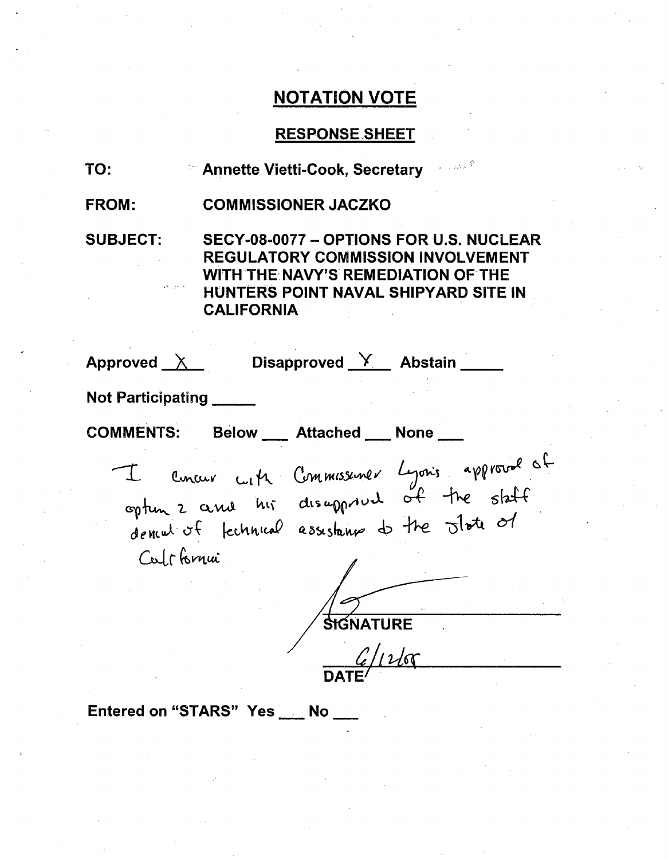#### RESPONSE.SHEET

| TO:             | a Carlos <sup>de</sup><br>■ Annette Vietti-Cook, Secretary                                                                                                                             |
|-----------------|----------------------------------------------------------------------------------------------------------------------------------------------------------------------------------------|
| <b>FROM:</b>    | <b>COMMISSIONER JACZKO</b>                                                                                                                                                             |
| <b>SUBJECT:</b> | SECY-08-0077 - OPTIONS FOR U.S. NUCLEAR<br><b>REGULATORY COMMISSION INVOLVEMENT</b><br>WITH THE NAVY'S REMEDIATION OF THE<br>HUNTERS POINT NAVAL SHIPYARD SITE IN<br><b>CALIFORNIA</b> |
| Approved $X$    | Disapproved $X$ Abstain                                                                                                                                                                |

Not Participating

**COMMENTS:** 

Below \_\_\_ Attached \_\_ None \_

**13t. I** dences of fecunical California  $Comm$ ssuner when the slote of

**SIGNATURE**  $6/11$ 

Entered on "STARS" Yes \_\_ No.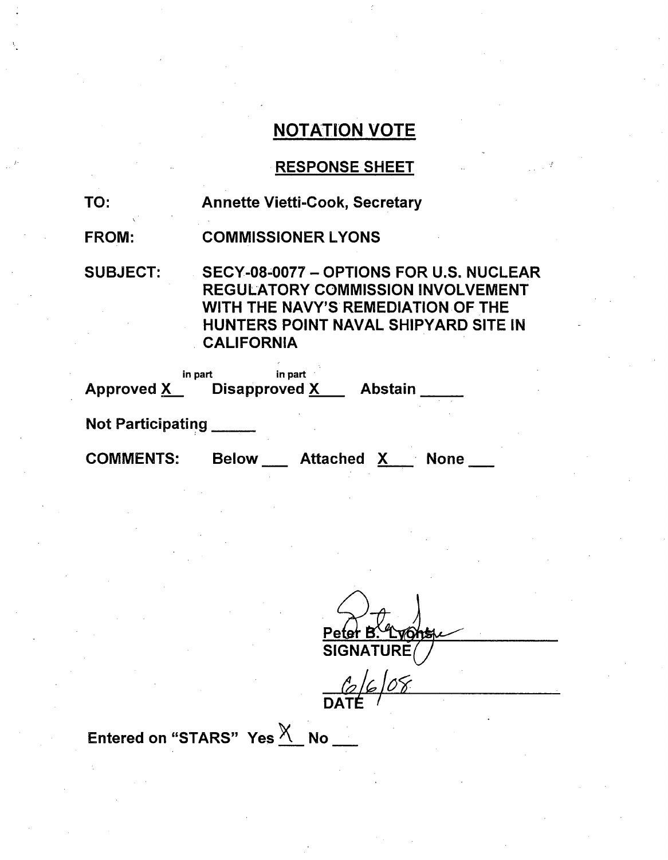# RESPONSE SHEET

| TO:               | <b>Annette Vietti-Cook, Secretary</b>                                                                                                                                                  |
|-------------------|----------------------------------------------------------------------------------------------------------------------------------------------------------------------------------------|
| <b>FROM:</b>      | <b>COMMISSIONER LYONS</b>                                                                                                                                                              |
| <b>SUBJECT:</b>   | SECY-08-0077 - OPTIONS FOR U.S. NUCLEAR<br><b>REGULATORY COMMISSION INVOLVEMENT</b><br>WITH THE NAVY'S REMEDIATION OF THE<br>HUNTERS POINT NAVAL SHIPYARD SITE IN<br><b>CALIFORNIA</b> |
|                   | in part<br>in part<br>Approved X Disapproved X Abstain                                                                                                                                 |
| Not Participating |                                                                                                                                                                                        |
| <b>COMMENTS:</b>  | <b>Below</b><br>Attached<br><b>None</b><br>X.                                                                                                                                          |

Peter B. Lyg<br>SIGNATURE

 $6608$ **DATE** 

Entered on "STARS"  $Yes \frac{\chi}{\Lambda}$  No \_\_\_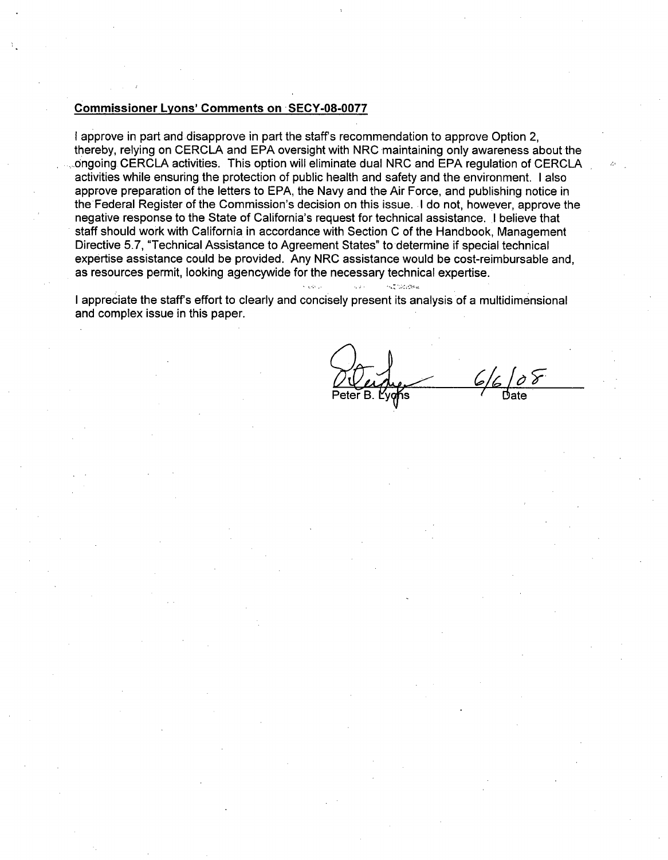#### Commissioner Lyons' Comments on **SECY-08-0077**

I approve in part and disapprove in part the staff's recommendation to approve Option 2, thereby, relying on CERCLA and EPA oversight with NRC maintaining only awareness about the ...ongoing CERCLA activities. This option will eliminate dual NRC and EPA regulation of CERCLA activities while ensuring the protection of public health and safety and the environment. I also approve preparation of the letters to EPA, the Navy and the Air Force, and publishing notice in the Federal Register of the Commission's decision on this issue. I do not, however, approve the negative response to the State of California's request for technical assistance. I believe that staff should work with California in accordance with Section C of the Handbook, Management Directive 5.7, "Technical Assistance to Agreement States" to determine if special technical expertise assistance could be provided. Any NRC assistance would be cost-reimbursable and, as resources permit, looking agencywide for the necessary technical expertise.

I appreciate the staffs effort to clearly and concisely present its analysis of a multidimensional and complex issue in this paper.

 $\bar{L}$  is a

. . . . .

Peter B. **fyf <sup>s</sup>**Date

.<br>Населени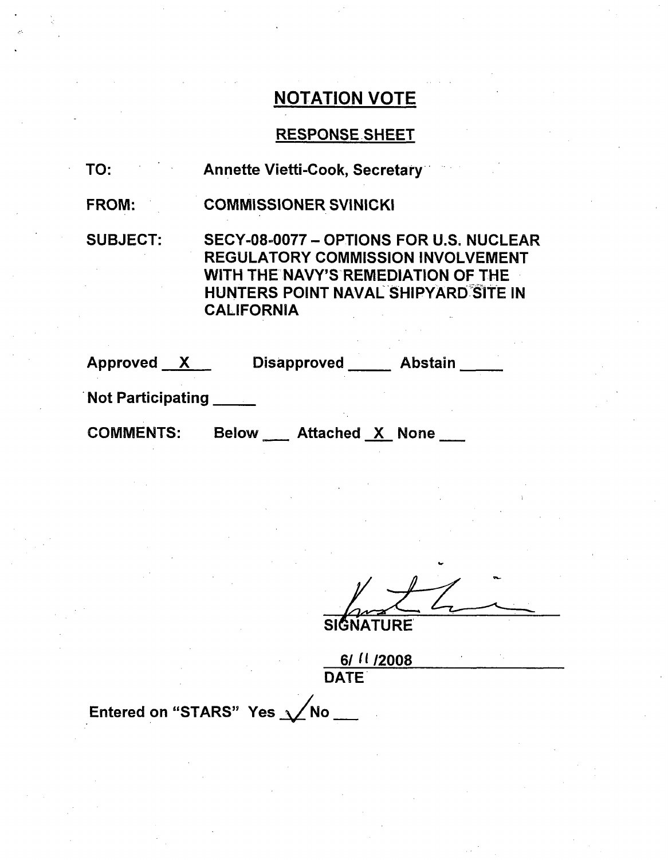# RESPONSE SHEET

| TO:                      | <b>Annette Vietti-Cook, Secretary</b>                                                                                                                                                         |  |  |
|--------------------------|-----------------------------------------------------------------------------------------------------------------------------------------------------------------------------------------------|--|--|
| <b>FROM:</b>             | <b>COMMISSIONER SVINICKI</b>                                                                                                                                                                  |  |  |
| <b>SUBJECT:</b>          | SECY-08-0077 - OPTIONS FOR U.S. NUCLEAR<br><b>REGULATORY COMMISSION INVOLVEMENT</b><br>WITH THE NAVY'S REMEDIATION OF THE<br><b>HUNTERS POINT NAVAL SHIPYARD SITE IN</b><br><b>CALIFORNIA</b> |  |  |
|                          | Approved X Disapproved Abstain                                                                                                                                                                |  |  |
| <b>Not Participating</b> |                                                                                                                                                                                               |  |  |
| <b>COMMENTS:</b>         | Below Attached X None                                                                                                                                                                         |  |  |

**SIGNATURE** 

61 (1 1200e DATE

Entered on "STARS" Yes  $\sqrt{\phantom{a}}$ No \_\_\_